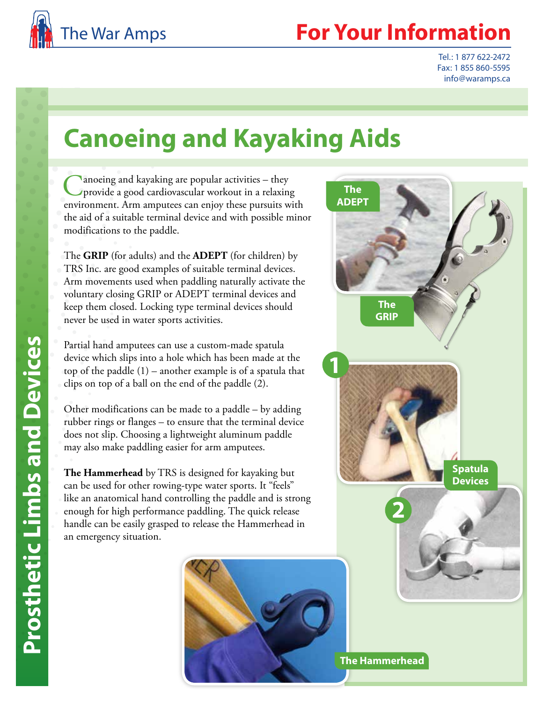

## **Your Information**

Tel.: 1 877 622-2472 Fax: 1 855 860-5595 info@waramps.ca

## **Canoeing and Kayaking Aids**

 $\lambda$  anoeing and kayaking are popular activities – they provide a good cardiovascular workout in a relaxing environment. Arm amputees can enjoy these pursuits with the aid of a suitable terminal device and with possible minor modifications to the paddle.

The **GRIP** (for adults) and the **ADEPT** (for children) by TRS Inc. are good examples of suitable terminal devices. Arm movements used when paddling naturally activate the voluntary closing GRIP or ADEPT terminal devices and keep them closed. Locking type terminal devices should never be used in water sports activities.

Partial hand amputees can use a custom-made spatula device which slips into a hole which has been made at the top of the paddle (1) – another example is of a spatula that clips on top of a ball on the end of the paddle (2).

Other modifications can be made to a paddle – by adding rubber rings or flanges – to ensure that the terminal device does not slip. Choosing a lightweight aluminum paddle may also make paddling easier for arm amputees.

**The Hammerhead** by TRS is designed for kayaking but can be used for other rowing-type water sports. It "feels" like an anatomical hand controlling the paddle and is strong enough for high performance paddling. The quick release handle can be easily grasped to release the Hammerhead in an emergency situation.





**The Hammerhead**